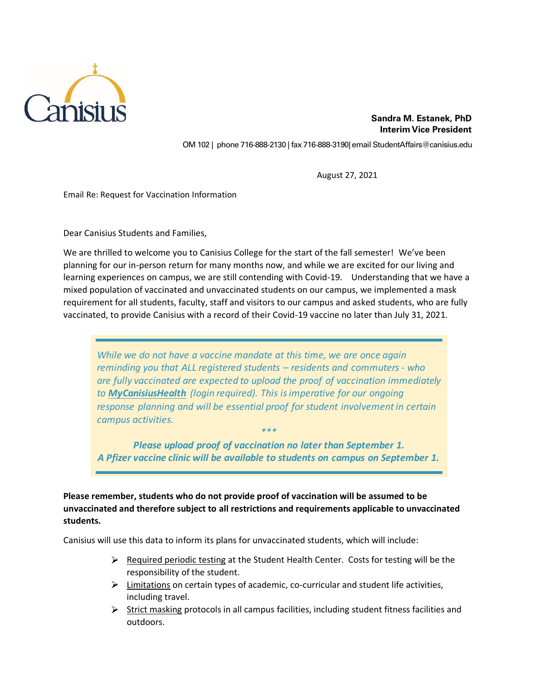

OM 102 | phone 716-888-2130 | fax 716-888-3190| email StudentAffairs@canisius.edu

August 27, 2021

Email Re: Request for Vaccination Information

Dear Canisius Students and Families,

We are thrilled to welcome you to Canisius College for the start of the fall semester! We've been planning for our in-person return for many months now, and while we are excited for our living and learning experiences on campus, we are still contending with Covid-19. Understanding that we have a mixed population of vaccinated and unvaccinated students on our campus, we implemented a mask requirement for all students, faculty, staff and visitors to our campus and asked students, who are fully vaccinated, to provide Canisius with a record of their Covid-19 vaccine no later than July 31, 2021.

*While we do not have a vaccine mandate at this time, we are once again reminding you that ALL registered students – residents and commuters - who are fully vaccinated are expected to upload the proof of vaccination immediately to MyCanisiusHealth (login required). This is imperative for our ongoing response planning and will be essential proof for student involvement in certain campus activities.*

*Please upload proof of vaccination no later than September 1. [A Pfizer vaccine clinic will be available to students on campus on September 1.](http://canisius.medicatconnect.com/home.aspx)*

*\*\*\**

**Please remember, students who do not provide proof of vaccination will be assumed to be unvaccinated and therefore subject to all restrictions and requirements applicable to unvaccinated students.** 

Canisius will use this data to inform its plans for unvaccinated students, which will include:

- $\triangleright$  Required periodic testing at the Student Health Center. Costs for testing will be the responsibility of the student.
- $\triangleright$  Limitations on certain types of academic, co-curricular and student life activities, including travel.
- $\triangleright$  Strict masking protocols in all campus facilities, including student fitness facilities and outdoors.